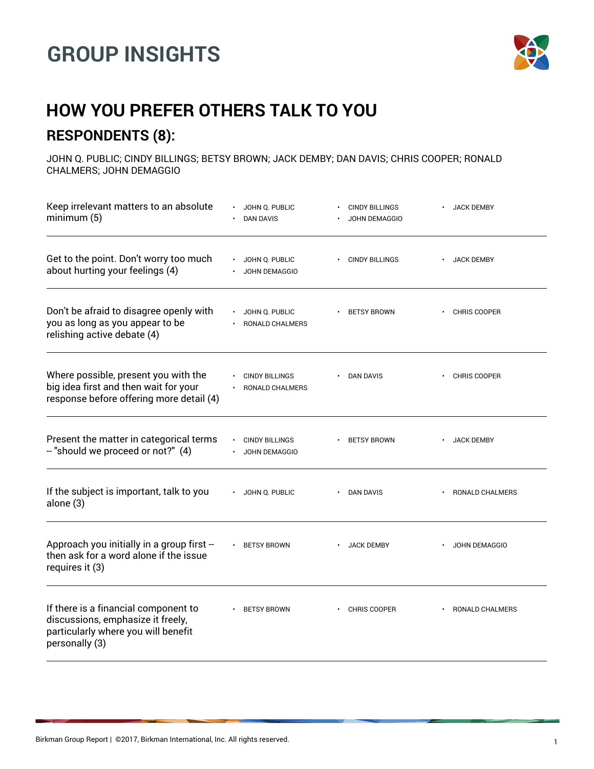## **GROUP INSIGHTS**



## **HOW YOU PREFER OTHERS TALK TO YOU RESPONDENTS (8):**

JOHN Q. PUBLIC; CINDY BILLINGS; BETSY BROWN; JACK DEMBY; DAN DAVIS; CHRIS COOPER; RONALD CHALMERS; JOHN DEMAGGIO

| Keep irrelevant matters to an absolute<br>minimum(5)                                                                               | JOHN Q. PUBLIC<br><b>DAN DAVIS</b>            | <b>CINDY BILLINGS</b><br><b>JOHN DEMAGGIO</b> | <b>JACK DEMBY</b>                |
|------------------------------------------------------------------------------------------------------------------------------------|-----------------------------------------------|-----------------------------------------------|----------------------------------|
| Get to the point. Don't worry too much<br>about hurting your feelings (4)                                                          | JOHN Q. PUBLIC<br><b>JOHN DEMAGGIO</b>        | <b>CINDY BILLINGS</b>                         | <b>JACK DEMBY</b>                |
| Don't be afraid to disagree openly with<br>you as long as you appear to be<br>relishing active debate (4)                          | JOHN Q. PUBLIC<br>RONALD CHALMERS             | <b>BETSY BROWN</b>                            | <b>CHRIS COOPER</b><br>$\bullet$ |
| Where possible, present you with the<br>big idea first and then wait for your<br>response before offering more detail (4)          | <b>CINDY BILLINGS</b><br>RONALD CHALMERS      | <b>DAN DAVIS</b>                              | <b>CHRIS COOPER</b>              |
| Present the matter in categorical terms<br>- "should we proceed or not?" (4)                                                       | <b>CINDY BILLINGS</b><br><b>JOHN DEMAGGIO</b> | <b>BETSY BROWN</b>                            | <b>JACK DEMBY</b>                |
| If the subject is important, talk to you<br>alone (3)                                                                              | JOHN Q. PUBLIC                                | • DAN DAVIS                                   | RONALD CHALMERS                  |
| Approach you initially in a group first -<br>then ask for a word alone if the issue<br>requires it (3)                             | <b>BETSY BROWN</b>                            | <b>JACK DEMBY</b>                             | JOHN DEMAGGIO                    |
| If there is a financial component to<br>discussions, emphasize it freely,<br>particularly where you will benefit<br>personally (3) | <b>BETSY BROWN</b>                            | <b>CHRIS COOPER</b>                           | RONALD CHALMERS                  |